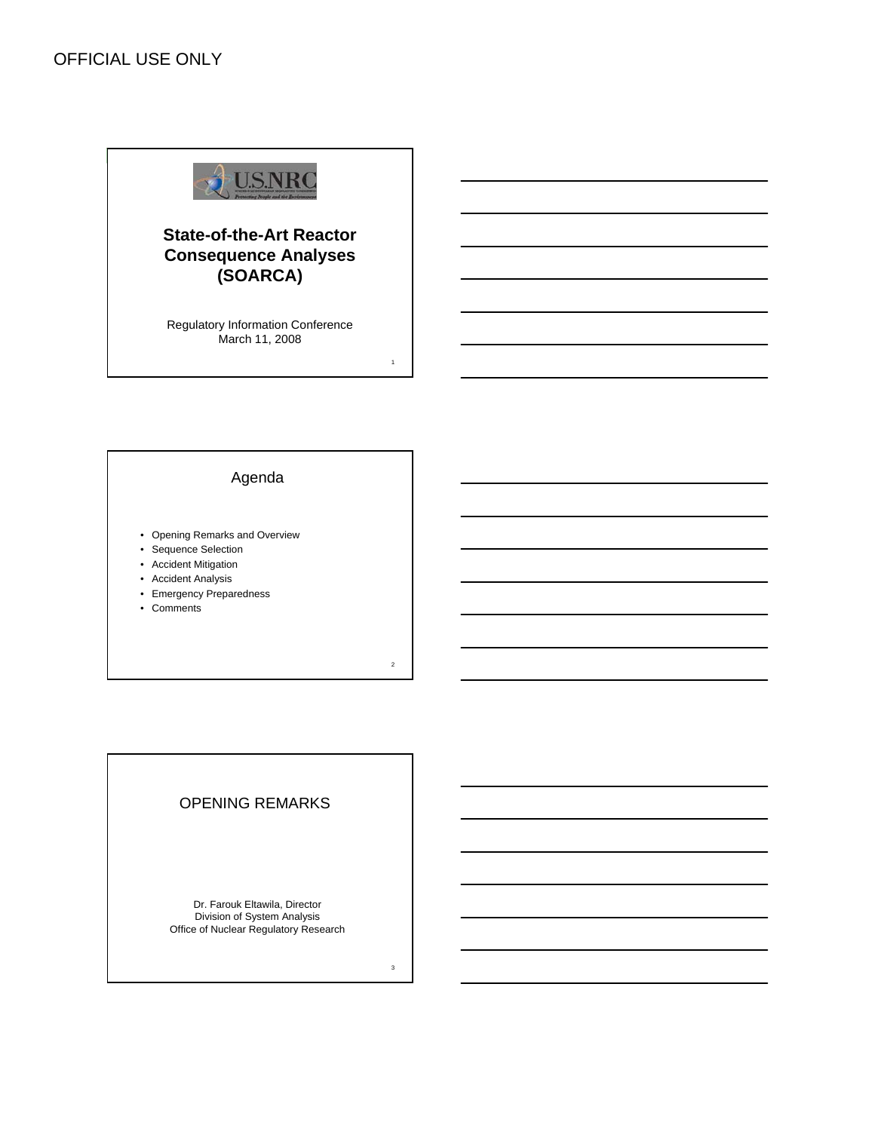

# **State-of-the-Art Reactor Consequence Analyses (SOARCA)**

Regulatory Information Conference March 11, 2008

1

2

3

## Agenda

- Opening Remarks and Overview
- Sequence Selection
- Accident Mitigation
- Accident Analysis
- Emergency Preparedness
- Comments

## OPENING REMARKS

Dr. Farouk Eltawila, Director Division of System Analysis Office of Nuclear Regulatory Research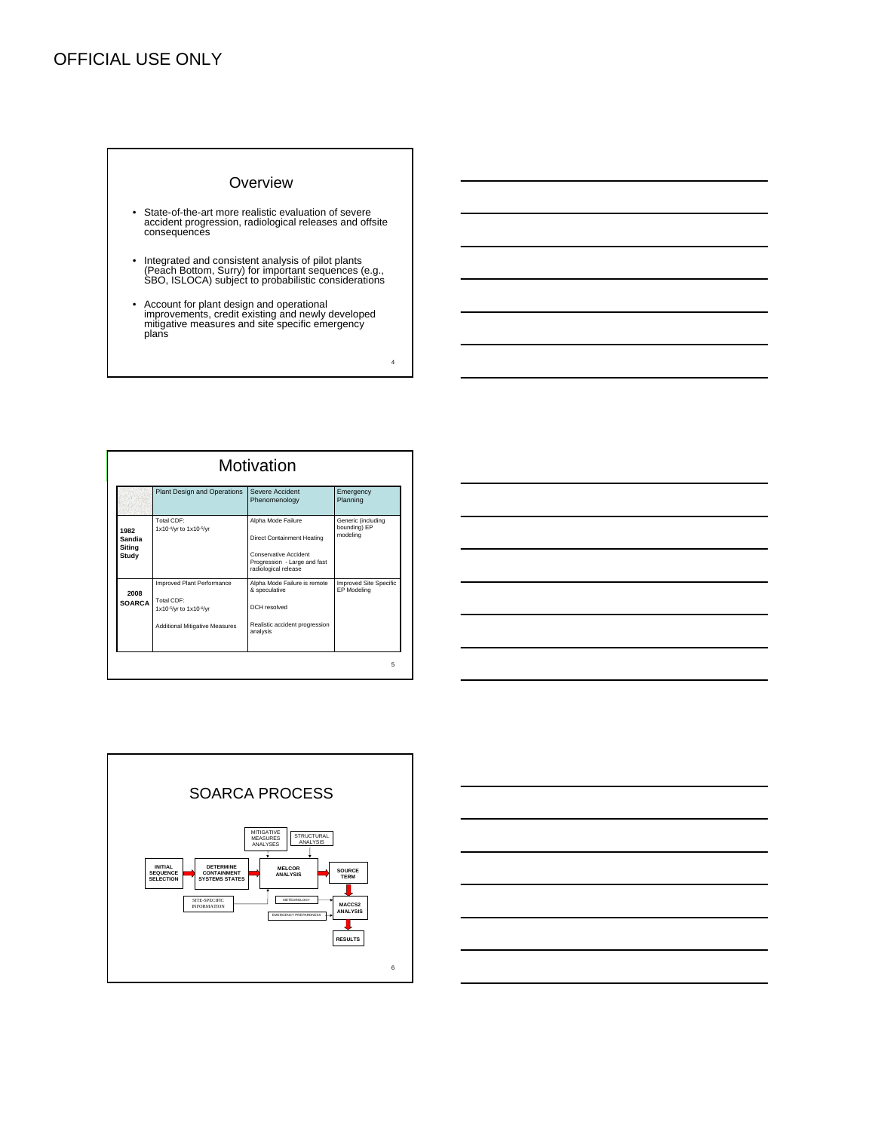#### **Overview**

- State-of-the-art more realistic evaluation of severe accident progression, radiological releases and offsite consequences
- Integrated and consistent analysis of pilot plants (Peach Bottom, Surry) for important sequences (e.g., SBO, ISLOCA) subject to probabilistic considerations
- Account for plant design and operational improvements, credit existing and newly developed mitigative measures and site specific emergency plans

|                                   | Plant Design and Operations                                                                                 | Severe Accident<br>Phenomenology                                                                                                  | Emergency<br>Planning                          |
|-----------------------------------|-------------------------------------------------------------------------------------------------------------|-----------------------------------------------------------------------------------------------------------------------------------|------------------------------------------------|
| 1982<br>Sandia<br>Siting<br>Study | Total CDF:<br>1x10 <sup>-4</sup> /yr to 1x10 <sup>-5</sup> /yr                                              | Alpha Mode Failure<br>Direct Containment Heating<br>Conservative Accident<br>Progression - Large and fast<br>radiological release | Generic (including<br>bounding) EP<br>modeling |
| 2008<br><b>SOARCA</b>             | Improved Plant Performance<br>Total CDF:<br>1x10-5/yr to 1x10-6/yr<br><b>Additional Mitigative Measures</b> | Alpha Mode Failure is remote<br>& speculative<br>DCH resolved<br>Realistic accident progression<br>analysis                       | <b>Improved Site Specific</b><br>EP Modeling   |





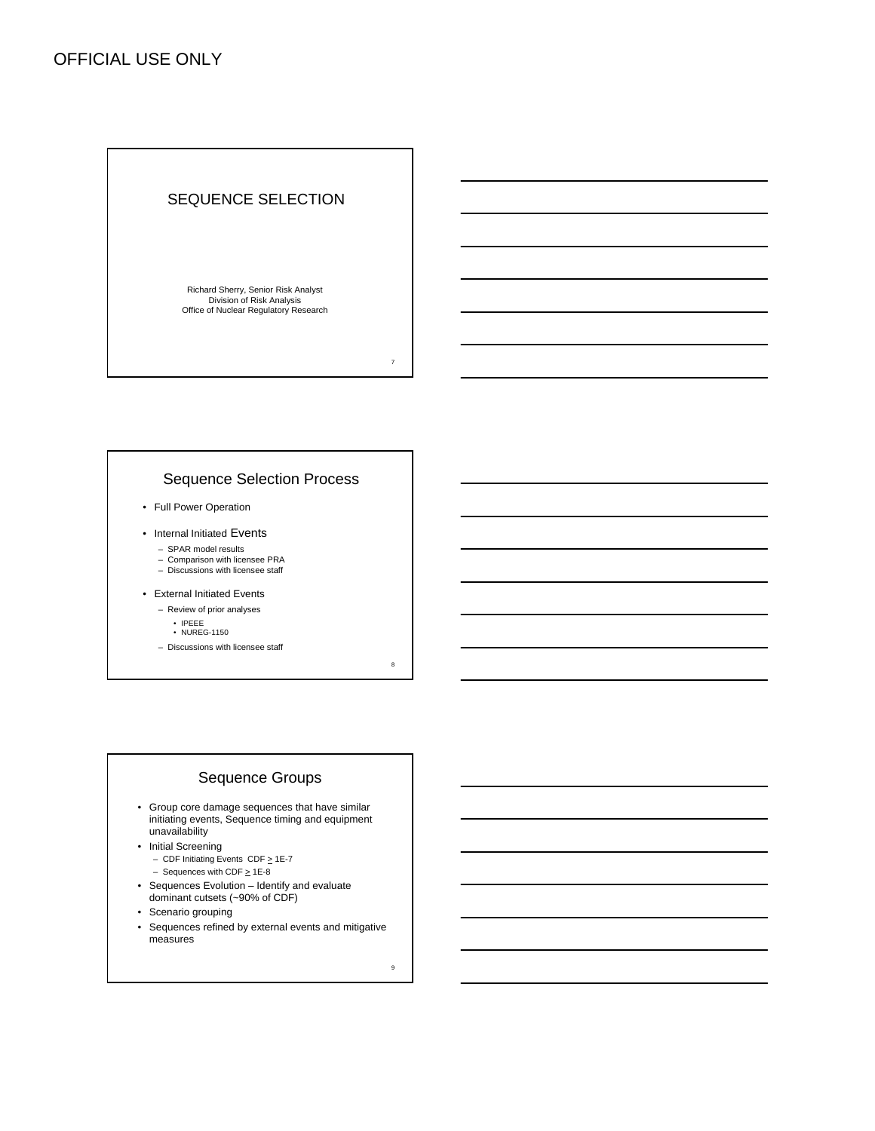#### SEQUENCE SELECTION

Richard Sherry, Senior Risk Analyst Division of Risk Analysis Office of Nuclear Regulatory Research

### Sequence Selection Process

- Full Power Operation
- Internal Initiated Events
	- SPAR model results
	- Comparison with licensee PRA Discussions with licensee staff
	-
- External Initiated Events
	- Review of prior analyses
		- IPEEE NUREG-1150
	- Discussions with licensee staff

## Sequence Groups

- Group core damage sequences that have similar initiating events, Sequence timing and equipment unavailability
- Initial Screening
	- CDF Initiating Events CDF  $\geq$  1E-7
	- Sequences with CDF  $\geq$  1E-8
- Sequences Evolution Identify and evaluate dominant cutsets (~90% of CDF)
- Scenario grouping
- Sequences refined by external events and mitigative measures

9

7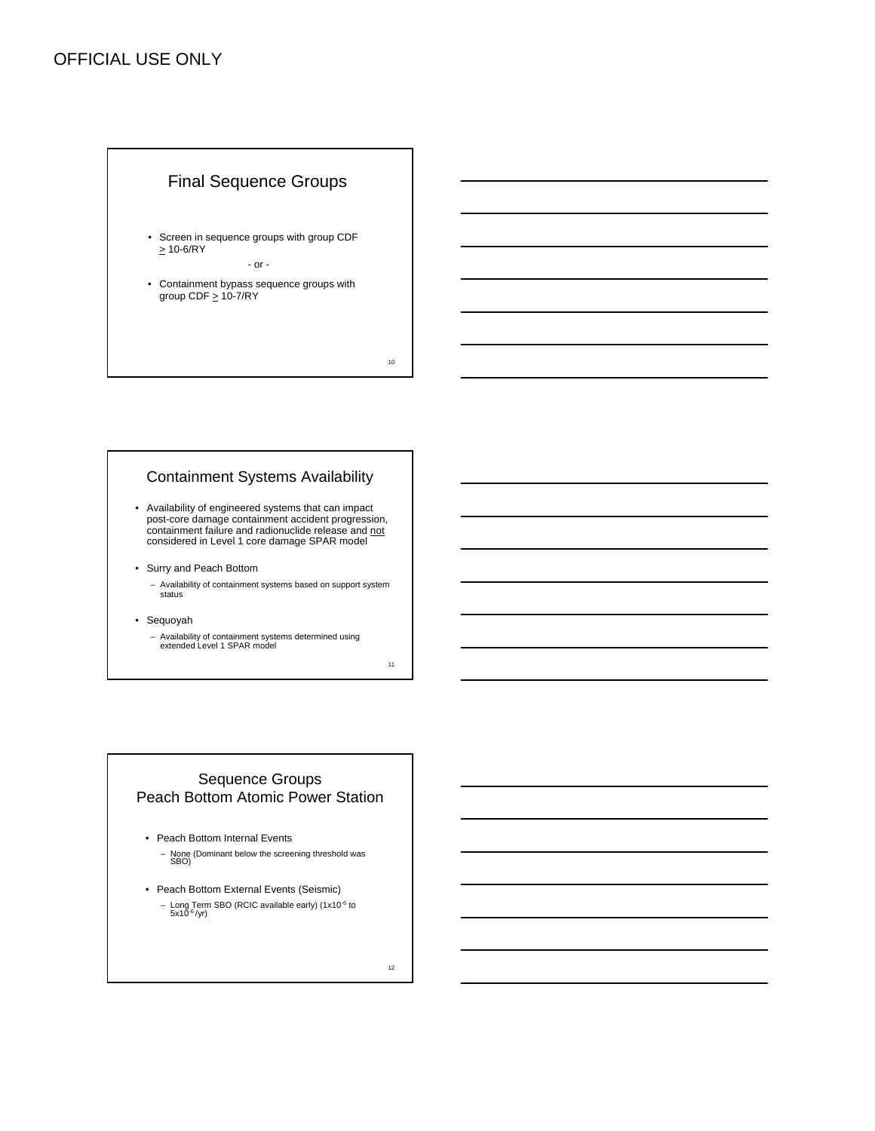# Final Sequence Groups

- Screen in sequence groups with group CDF  $\geq 10 - 6$ /RY - or -
- Containment bypass sequence groups with group CDF  $\geq 10-7/RY$

10

#### Containment Systems Availability

- Availability of engineered systems that can impact post-core damage containment accident progression, containment failure and radionuclide release and not considered in Level 1 core damage SPAR model
- Surry and Peach Bottom
	- Availability of containment systems based on support system status
- Sequoyah
	- Availability of containment systems determined using extended Level 1 SPAR model

11

## Sequence Groups Peach Bottom Atomic Power Station

- Peach Bottom Internal Events – None (Dominant below the screening threshold was SBO)
- Peach Bottom External Events (Seismic) – Long Term SBO (RCIC available early) (1x10<sup>-6</sup> to 5x10<sup>-6</sup> /yr)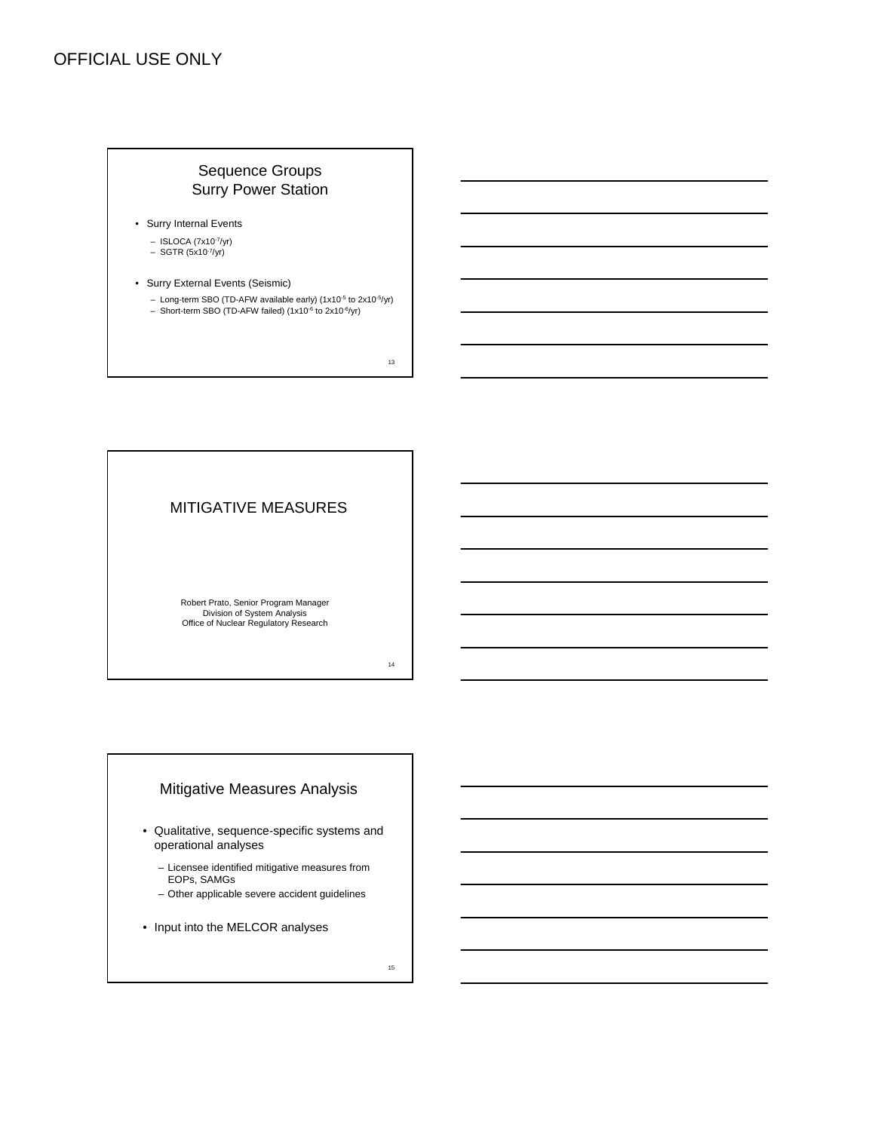# Sequence Groups Surry Power Station

- Surry Internal Events
	- $-$  ISLOCA (7x10-7/yr)
	- $-$  SGTR (5x10<sup>-7</sup>/yr)
- Surry External Events (Seismic)
	- Long-term SBO (TD-AFW available early) (1x10-5 to 2x10-5/yr)
	- Short-term SBO (TD-AFW failed) (1x10-6 to 2x10-6/yr)

13

## MITIGATIVE MEASURES

Robert Prato, Senior Program Manager Division of System Analysis Office of Nuclear Regulatory Research

14

### Mitigative Measures Analysis

- Qualitative, sequence-specific systems and operational analyses
	- Licensee identified mitigative measures from EOPs, SAMGs
	- Other applicable severe accident guidelines
- Input into the MELCOR analyses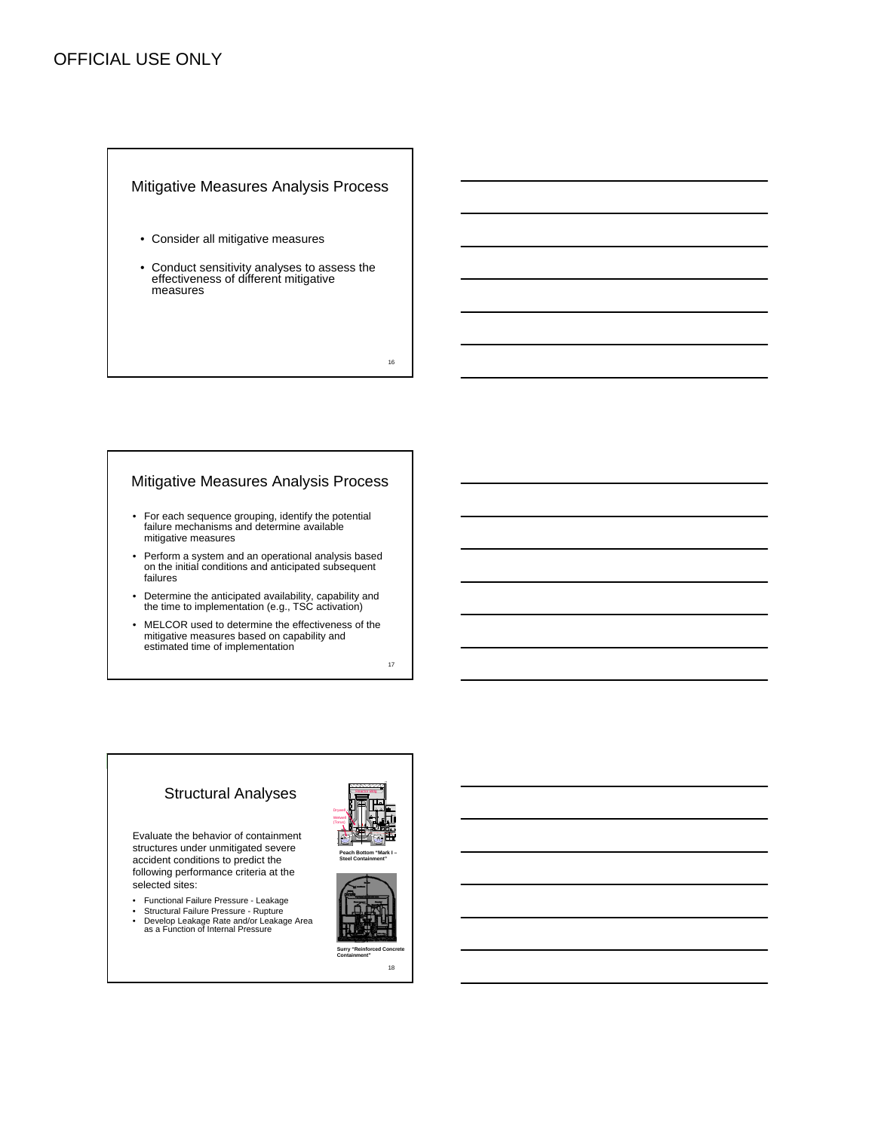#### Mitigative Measures Analysis Process

- Consider all mitigative measures
- Conduct sensitivity analyses to assess the effectiveness of different mitigative measures

16

#### Mitigative Measures Analysis Process

- For each sequence grouping, identify the potential failure mechanisms and determine available mitigative measures
- Perform a system and an operational analysis based on the initial conditions and anticipated subsequent failures
- Determine the anticipated availability, capability and the time to implementation (e.g., TSC activation)
- MELCOR used to determine the effectiveness of the mitigative measures based on capability and estimated time of implementation

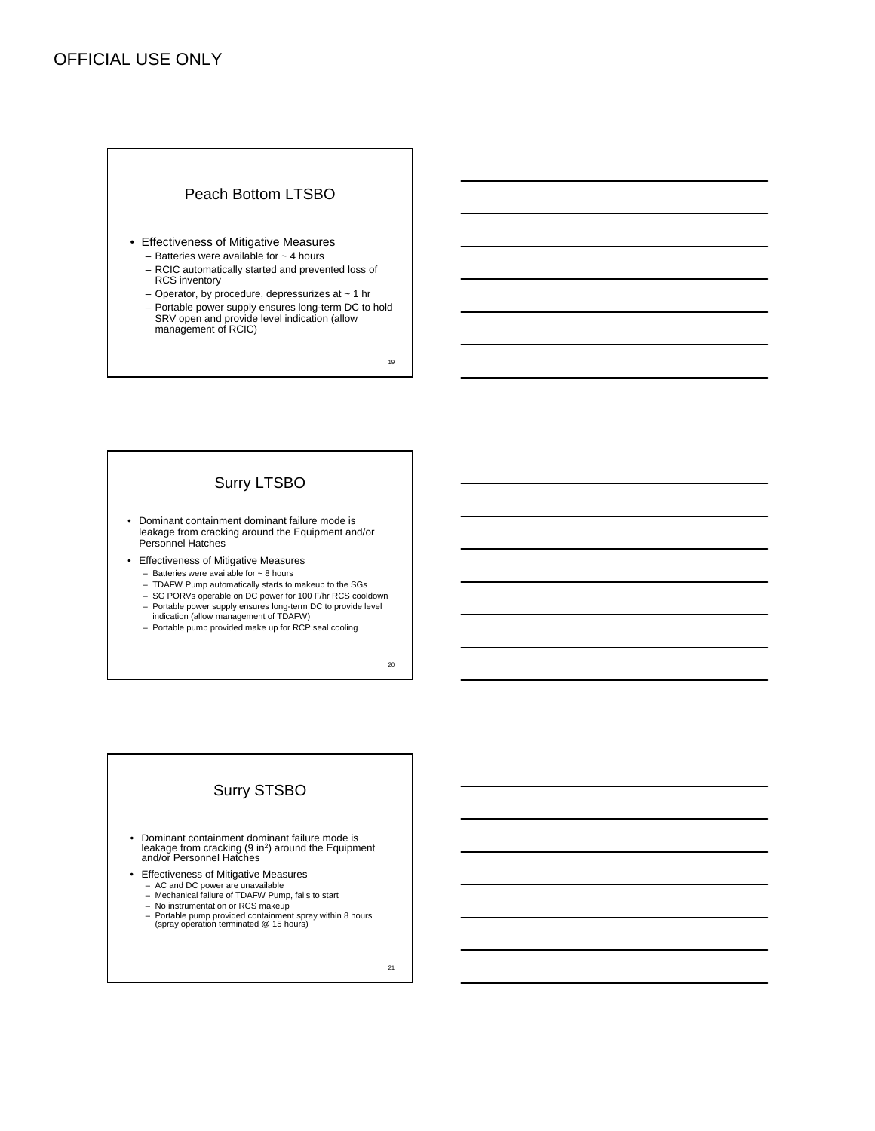# Peach Bottom LTSBO

- Effectiveness of Mitigative Measures
	- $-$  Batteries were available for  $\sim$  4 hours
	- RCIC automatically started and prevented loss of RCS inventory
	- Operator, by procedure, depressurizes at ~ 1 hr
	- Portable power supply ensures long-term DC to hold SRV open and provide level indication (allow management of RCIC)

19

## Surry LTSBO

- Dominant containment dominant failure mode is leakage from cracking around the Equipment and/or Personnel Hatches
- Effectiveness of Mitigative Measures
	- Batteries were available for  $\sim$  8 hours
	- TDAFW Pump automatically starts to makeup to the SGs
	- SG PORVs operable on DC power for 100 F/hr RCS cooldown
	- Portable power supply ensures long-term DC to provide level indication (allow management of TDAFW)
	- Portable pump provided make up for RCP seal cooling

20

# Surry STSBO

- Dominant containment dominant failure mode is leakage from cracking (9 in<sup>2</sup>) around the Equipment and/or Personnel Hatches
- Effectiveness of Mitigative Measures
	- AC and DC power are unavailable Mechanical failure of TDAFW Pump, fails to start
	-
	- No instrumentation or RCS makeup
	- Portable pump provided containment spray within 8 hours (spray operation terminated @ 15 hours)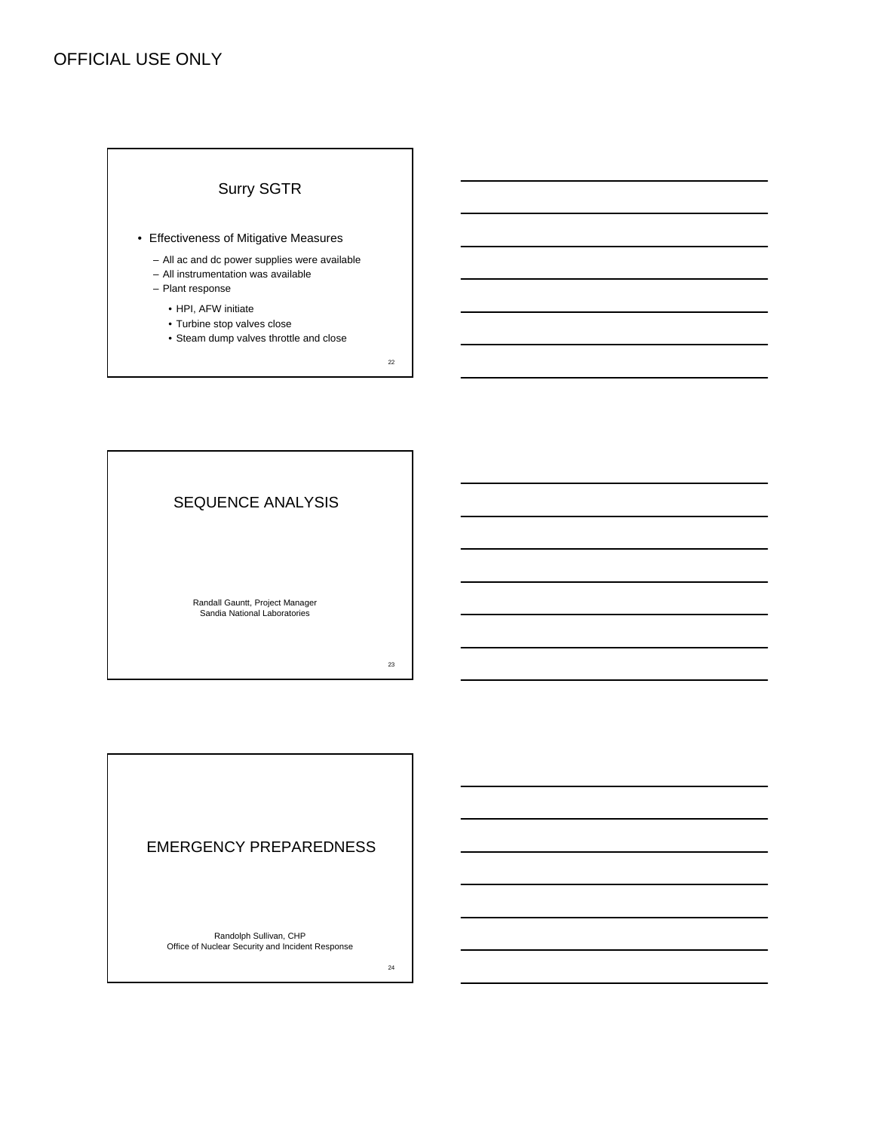# Surry SGTR

- Effectiveness of Mitigative Measures
	- All ac and dc power supplies were available
	- All instrumentation was available
	- Plant response
		- HPI, AFW initiate
		- Turbine stop valves close
		- Steam dump valves throttle and close

22

SEQUENCE ANALYSIS Randall Gauntt, Project Manager Sandia National Laboratories

23

# EMERGENCY PREPAREDNESS

Randolph Sullivan, CHP Office of Nuclear Security and Incident Response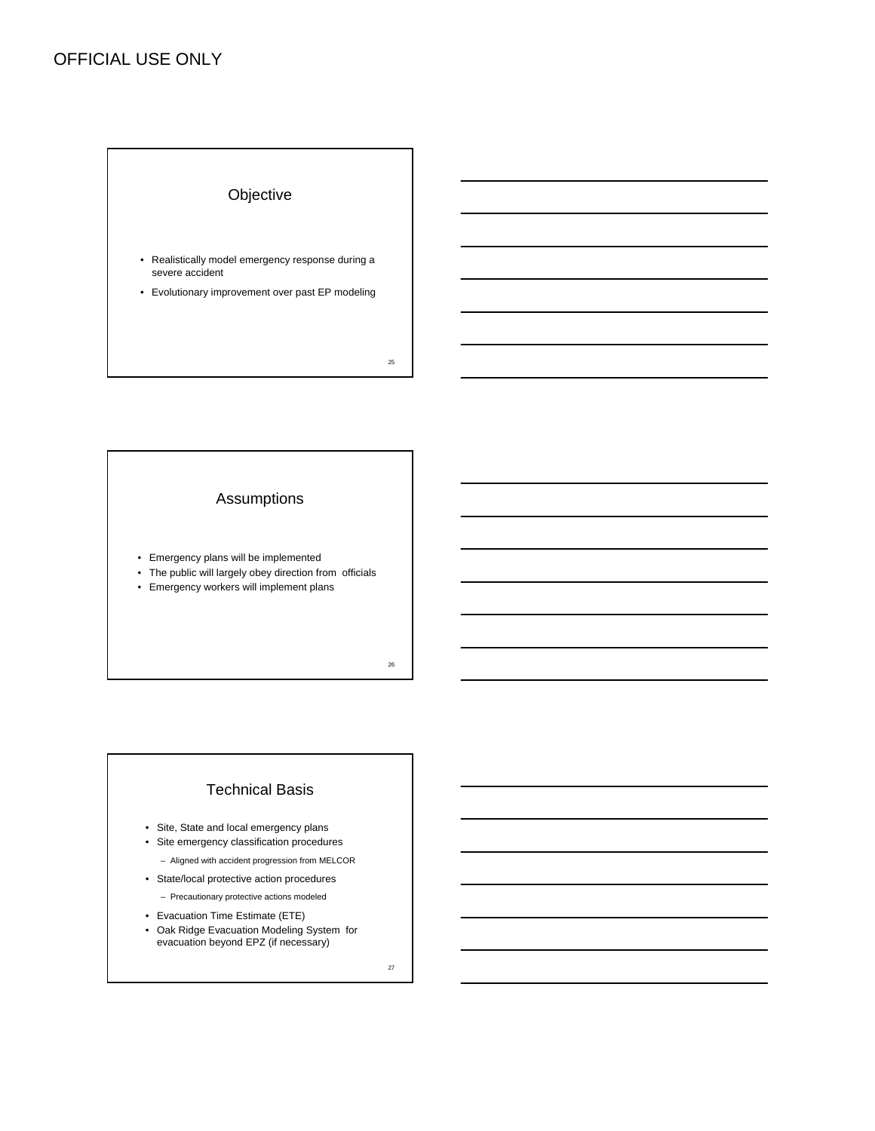

#### Assumptions

- Emergency plans will be implemented
- The public will largely obey direction from officials
- Emergency workers will implement plans

26

## Technical Basis

- Site, State and local emergency plans
- Site emergency classification procedures – Aligned with accident progression from MELCOR
- State/local protective action procedures
	- Precautionary protective actions modeled
- Evacuation Time Estimate (ETE)
- Oak Ridge Evacuation Modeling System for evacuation beyond EPZ (if necessary)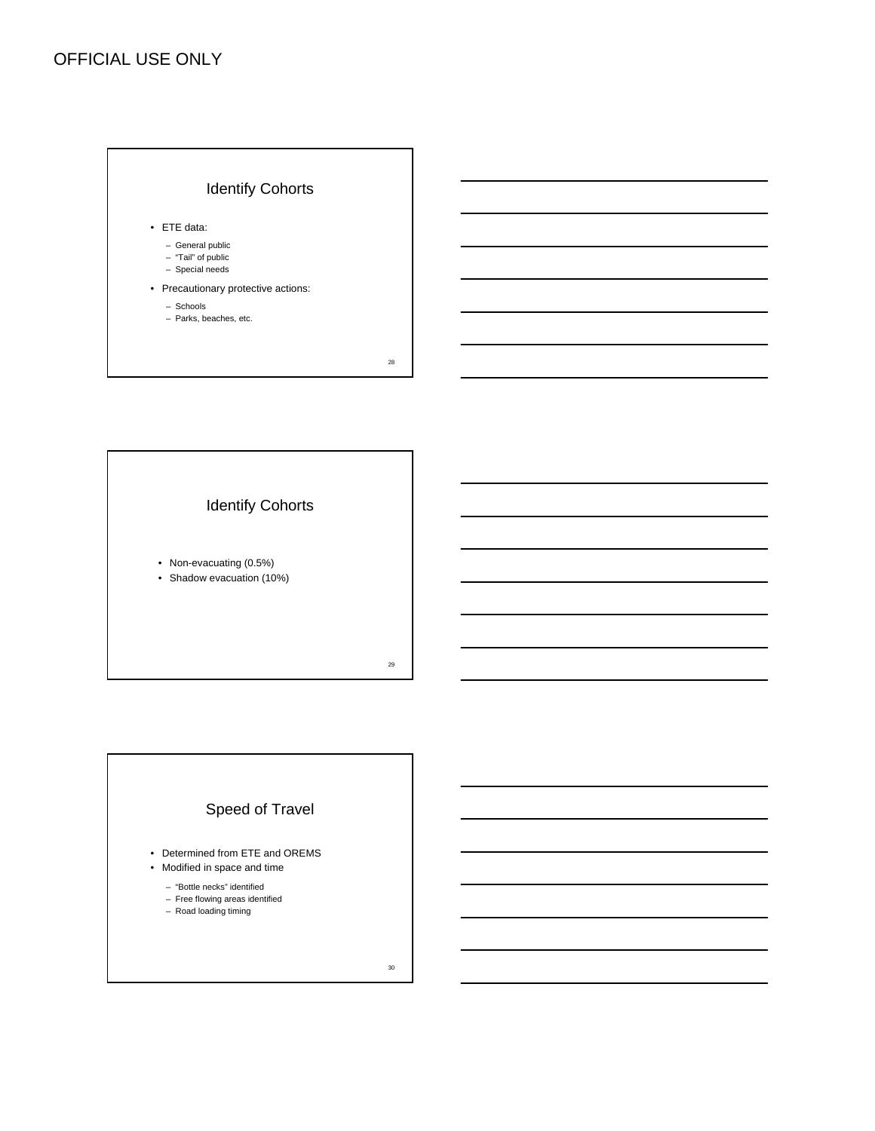



- Non-evacuating (0.5%)
- Shadow evacuation (10%)

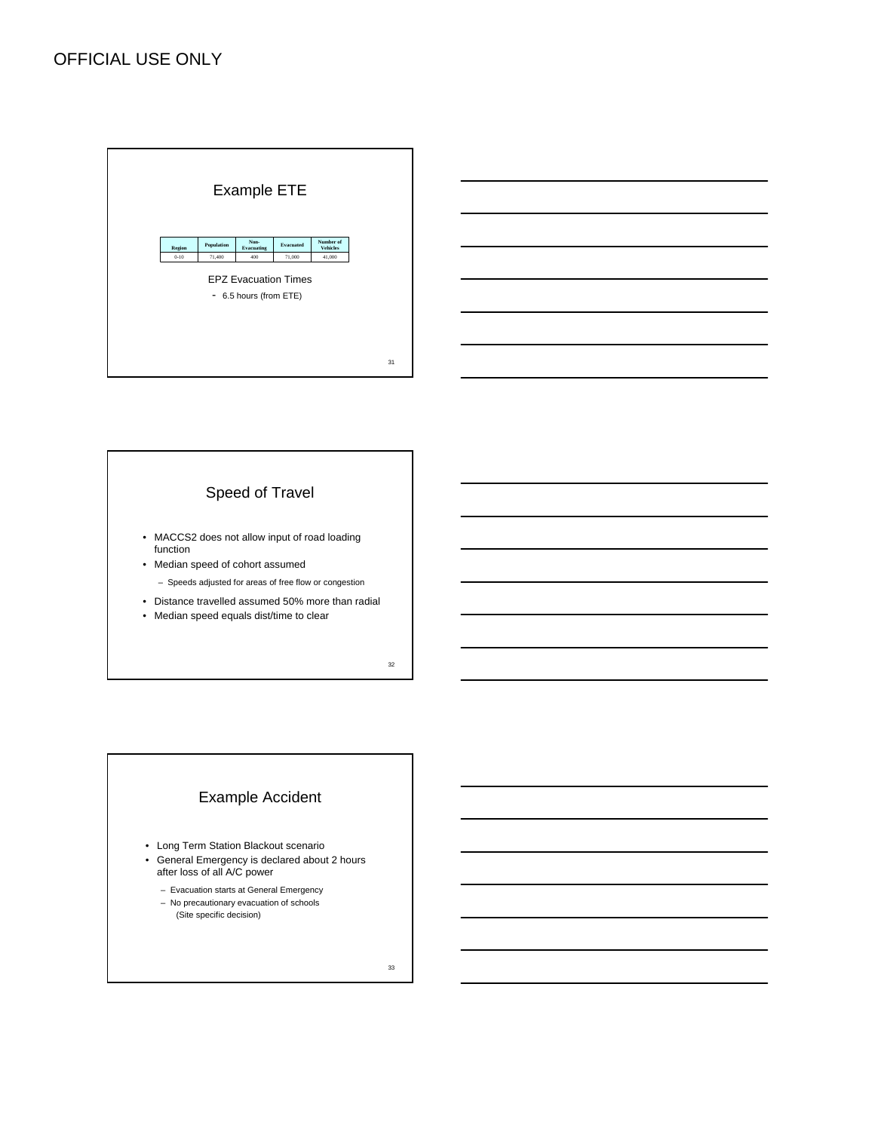

# Example Accident

- Long Term Station Blackout scenario
- General Emergency is declared about 2 hours after loss of all A/C power
	- Evacuation starts at General Emergency
	- No precautionary evacuation of schools (Site specific decision)